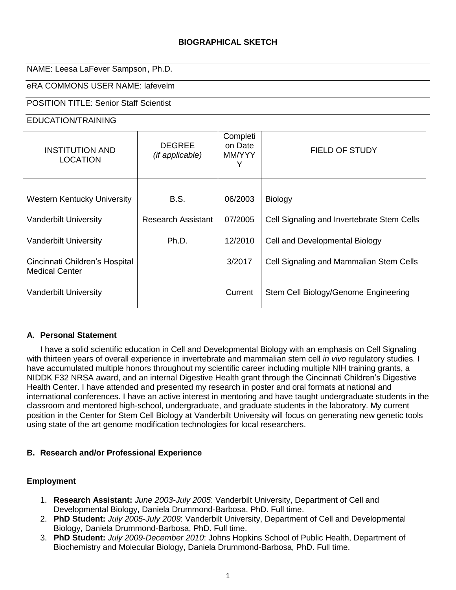# **BIOGRAPHICAL SKETCH**

#### NAME: Leesa LaFever Sampson, Ph.D.

# eRA COMMONS USER NAME: lafevelm

# POSITION TITLE: Senior Staff Scientist

#### EDUCATION/TRAINING

| <b>INSTITUTION AND</b><br><b>LOCATION</b>               | <b>DEGREE</b><br>(if applicable) | Completi<br>on Date<br>MM/YYY<br>Y | FIELD OF STUDY                             |
|---------------------------------------------------------|----------------------------------|------------------------------------|--------------------------------------------|
|                                                         |                                  |                                    |                                            |
| <b>Western Kentucky University</b>                      | B.S.                             | 06/2003                            | <b>Biology</b>                             |
| <b>Vanderbilt University</b>                            | <b>Research Assistant</b>        | 07/2005                            | Cell Signaling and Invertebrate Stem Cells |
| <b>Vanderbilt University</b>                            | Ph.D.                            | 12/2010                            | Cell and Developmental Biology             |
| Cincinnati Children's Hospital<br><b>Medical Center</b> |                                  | 3/2017                             | Cell Signaling and Mammalian Stem Cells    |
| <b>Vanderbilt University</b>                            |                                  | Current                            | Stem Cell Biology/Genome Engineering       |

#### **A. Personal Statement**

I have a solid scientific education in Cell and Developmental Biology with an emphasis on Cell Signaling with thirteen years of overall experience in invertebrate and mammalian stem cell *in vivo* regulatory studies. I have accumulated multiple honors throughout my scientific career including multiple NIH training grants, a NIDDK F32 NRSA award, and an internal Digestive Health grant through the Cincinnati Children's Digestive Health Center. I have attended and presented my research in poster and oral formats at national and international conferences. I have an active interest in mentoring and have taught undergraduate students in the classroom and mentored high-school, undergraduate, and graduate students in the laboratory. My current position in the Center for Stem Cell Biology at Vanderbilt University will focus on generating new genetic tools using state of the art genome modification technologies for local researchers.

### **B. Research and/or Professional Experience**

### **Employment**

- 1. **Research Assistant:** *June 2003-July 2005*: Vanderbilt University, Department of Cell and Developmental Biology, Daniela Drummond-Barbosa, PhD. Full time.
- 2. **PhD Student:** *July 2005-July 2009*: Vanderbilt University, Department of Cell and Developmental Biology, Daniela Drummond-Barbosa, PhD. Full time.
- 3. **PhD Student:** *July 2009-December 2010*: Johns Hopkins School of Public Health, Department of Biochemistry and Molecular Biology, Daniela Drummond-Barbosa, PhD. Full time.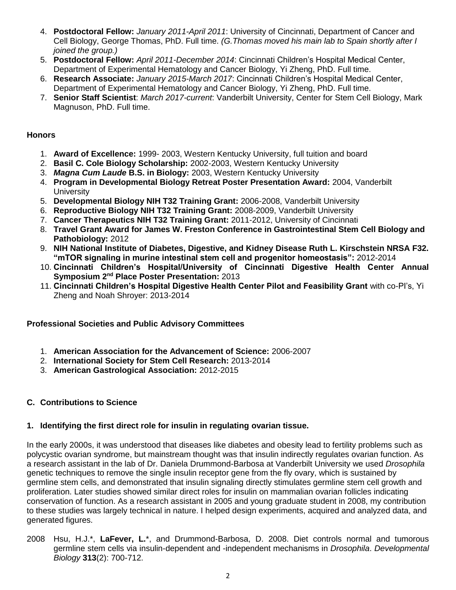- 4. **Postdoctoral Fellow:** *January 2011-April 2011*: University of Cincinnati, Department of Cancer and Cell Biology, George Thomas, PhD. Full time. *(G.Thomas moved his main lab to Spain shortly after I joined the group.)*
- 5. **Postdoctoral Fellow:** *April 2011-December 2014*: Cincinnati Children's Hospital Medical Center, Department of Experimental Hematology and Cancer Biology, Yi Zheng, PhD. Full time.
- 6. **Research Associate:** *January 2015-March 2017*: Cincinnati Children's Hospital Medical Center, Department of Experimental Hematology and Cancer Biology, Yi Zheng, PhD. Full time.
- 7. **Senior Staff Scientist**: *March 2017-current*: Vanderbilt University, Center for Stem Cell Biology, Mark Magnuson, PhD. Full time.

# **Honors**

- 1. **Award of Excellence:** 1999- 2003, Western Kentucky University, full tuition and board
- 2. **Basil C. Cole Biology Scholarship:** 2002-2003, Western Kentucky University
- 3. *Magna Cum Laude* **B.S. in Biology:** 2003, Western Kentucky University
- 4. **Program in Developmental Biology Retreat Poster Presentation Award:** 2004, Vanderbilt **University**
- 5. **Developmental Biology NIH T32 Training Grant:** 2006-2008, Vanderbilt University
- 6. **Reproductive Biology NIH T32 Training Grant:** 2008-2009, Vanderbilt University
- 7. **Cancer Therapeutics NIH T32 Training Grant:** 2011-2012, University of Cincinnati
- 8. **Travel Grant Award for James W. Freston Conference in Gastrointestinal Stem Cell Biology and Pathobiology:** 2012
- 9. **NIH National Institute of Diabetes, Digestive, and Kidney Disease Ruth L. Kirschstein NRSA F32. "mTOR signaling in murine intestinal stem cell and progenitor homeostasis":** 2012-2014
- 10. **Cincinnati Children's Hospital/University of Cincinnati Digestive Health Center Annual Symposium 2nd Place Poster Presentation:** 2013
- 11. **Cincinnati Children's Hospital Digestive Health Center Pilot and Feasibility Grant** with co-PI's, Yi Zheng and Noah Shroyer: 2013-2014

### **Professional Societies and Public Advisory Committees**

- 1. **American Association for the Advancement of Science:** 2006-2007
- 2. **International Society for Stem Cell Research:** 2013-2014
- 3. **American Gastrological Association:** 2012-2015

# **C. Contributions to Science**

### **1. Identifying the first direct role for insulin in regulating ovarian tissue.**

In the early 2000s, it was understood that diseases like diabetes and obesity lead to fertility problems such as polycystic ovarian syndrome, but mainstream thought was that insulin indirectly regulates ovarian function. As a research assistant in the lab of Dr. Daniela Drummond-Barbosa at Vanderbilt University we used *Drosophila*  genetic techniques to remove the single insulin receptor gene from the fly ovary, which is sustained by germline stem cells, and demonstrated that insulin signaling directly stimulates germline stem cell growth and proliferation. Later studies showed similar direct roles for insulin on mammalian ovarian follicles indicating conservation of function. As a research assistant in 2005 and young graduate student in 2008, my contribution to these studies was largely technical in nature. I helped design experiments, acquired and analyzed data, and generated figures.

2008 Hsu, H.J.\*, **LaFever, L.**\*, and Drummond-Barbosa, D. 2008. Diet controls normal and tumorous germline stem cells via insulin-dependent and -independent mechanisms in *Drosophila*. *Developmental Biology* **313**(2): 700-712.